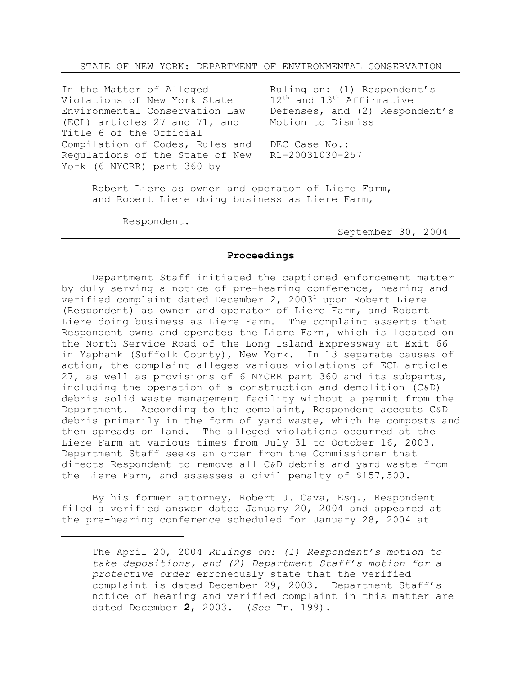### STATE OF NEW YORK: DEPARTMENT OF ENVIRONMENTAL CONSERVATION

In the Matter of Alleged Violations of New York State Environmental Conservation Law (ECL) articles 27 and 71, and Title 6 of the Official Compilation of Codes, Rules and Regulations of the State of New York (6 NYCRR) part 360 by Ruling on: (1) Respondent's 12<sup>th</sup> and 13<sup>th</sup> Affirmative Defenses, and (2) Respondent's Motion to Dismiss DEC Case No.: R1-20031030-257

Robert Liere as owner and operator of Liere Farm, and Robert Liere doing business as Liere Farm,

Respondent.

September 30, 2004

#### **Proceedings**

Department Staff initiated the captioned enforcement matter by duly serving a notice of pre-hearing conference, hearing and verified complaint dated December 2, 2003<sup>1</sup> upon Robert Liere (Respondent) as owner and operator of Liere Farm, and Robert Liere doing business as Liere Farm. The complaint asserts that Respondent owns and operates the Liere Farm, which is located on the North Service Road of the Long Island Expressway at Exit 66 in Yaphank (Suffolk County), New York. In 13 separate causes of action, the complaint alleges various violations of ECL article 27, as well as provisions of 6 NYCRR part 360 and its subparts, including the operation of a construction and demolition (C&D) debris solid waste management facility without a permit from the Department. According to the complaint, Respondent accepts C&D debris primarily in the form of yard waste, which he composts and then spreads on land. The alleged violations occurred at the Liere Farm at various times from July 31 to October 16, 2003. Department Staff seeks an order from the Commissioner that directs Respondent to remove all C&D debris and yard waste from the Liere Farm, and assesses a civil penalty of \$157,500.

By his former attorney, Robert J. Cava, Esq., Respondent filed a verified answer dated January 20, 2004 and appeared at the pre-hearing conference scheduled for January 28, 2004 at

<sup>1</sup> The April 20, 2004 *Rulings on: (1) Respondent's motion to take depositions, and (2) Department Staff's motion for a protective order* erroneously state that the verified complaint is dated December 29, 2003. Department Staff's notice of hearing and verified complaint in this matter are dated December **2**, 2003. (*See* Tr. 199).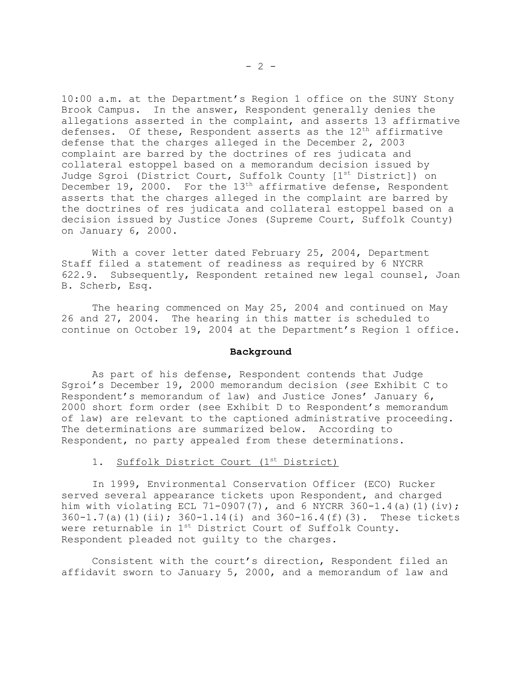10:00 a.m. at the Department's Region 1 office on the SUNY Stony Brook Campus. In the answer, Respondent generally denies the allegations asserted in the complaint, and asserts 13 affirmative defenses. Of these, Respondent asserts as the  $12<sup>th</sup>$  affirmative defense that the charges alleged in the December 2, 2003 complaint are barred by the doctrines of res judicata and collateral estoppel based on a memorandum decision issued by Judge Sgroi (District Court, Suffolk County [1st District]) on December 19, 2000. For the  $13<sup>th</sup>$  affirmative defense, Respondent asserts that the charges alleged in the complaint are barred by the doctrines of res judicata and collateral estoppel based on a decision issued by Justice Jones (Supreme Court, Suffolk County) on January 6, 2000.

With a cover letter dated February 25, 2004, Department Staff filed a statement of readiness as required by 6 NYCRR 622.9. Subsequently, Respondent retained new legal counsel, Joan B. Scherb, Esq.

The hearing commenced on May 25, 2004 and continued on May 26 and 27, 2004. The hearing in this matter is scheduled to continue on October 19, 2004 at the Department's Region 1 office.

## **Background**

As part of his defense, Respondent contends that Judge Sgroi's December 19, 2000 memorandum decision (*see* Exhibit C to Respondent's memorandum of law) and Justice Jones' January 6, 2000 short form order (see Exhibit D to Respondent's memorandum of law) are relevant to the captioned administrative proceeding. The determinations are summarized below. According to Respondent, no party appealed from these determinations.

## 1. Suffolk District Court (1st District)

In 1999, Environmental Conservation Officer (ECO) Rucker served several appearance tickets upon Respondent, and charged him with violating ECL 71-0907(7), and 6 NYCRR 360-1.4(a)(1)(iv); 360-1.7(a)(1)(ii); 360-1.14(i) and 360-16.4(f)(3). These tickets were returnable in 1<sup>st</sup> District Court of Suffolk County. Respondent pleaded not guilty to the charges.

Consistent with the court's direction, Respondent filed an affidavit sworn to January 5, 2000, and a memorandum of law and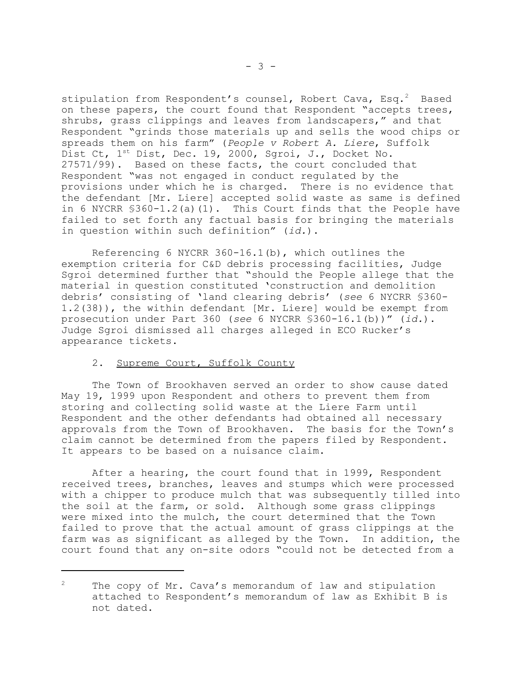stipulation from Respondent's counsel, Robert Cava, Esq.<sup>2</sup> Based on these papers, the court found that Respondent "accepts trees, shrubs, grass clippings and leaves from landscapers," and that Respondent "grinds those materials up and sells the wood chips or spreads them on his farm" (*People v Robert A. Liere*, Suffolk Dist Ct, 1st Dist, Dec. 19, 2000, Sgroi, J., Docket No. 27571/99). Based on these facts, the court concluded that Respondent "was not engaged in conduct regulated by the provisions under which he is charged. There is no evidence that the defendant [Mr. Liere] accepted solid waste as same is defined in 6 NYCRR §360-1.2(a)(1). This Court finds that the People have failed to set forth any factual basis for bringing the materials in question within such definition" (*id.*).

Referencing 6 NYCRR 360-16.1(b), which outlines the exemption criteria for C&D debris processing facilities, Judge Sgroi determined further that "should the People allege that the material in question constituted 'construction and demolition debris' consisting of 'land clearing debris' (*see* 6 NYCRR §360- 1.2(38)), the within defendant [Mr. Liere] would be exempt from prosecution under Part 360 (*see* 6 NYCRR §360-16.1(b))" (*id.*). Judge Sgroi dismissed all charges alleged in ECO Rucker's appearance tickets.

## 2. Supreme Court, Suffolk County

The Town of Brookhaven served an order to show cause dated May 19, 1999 upon Respondent and others to prevent them from storing and collecting solid waste at the Liere Farm until Respondent and the other defendants had obtained all necessary approvals from the Town of Brookhaven. The basis for the Town's claim cannot be determined from the papers filed by Respondent. It appears to be based on a nuisance claim.

After a hearing, the court found that in 1999, Respondent received trees, branches, leaves and stumps which were processed with a chipper to produce mulch that was subsequently tilled into the soil at the farm, or sold. Although some grass clippings were mixed into the mulch, the court determined that the Town failed to prove that the actual amount of grass clippings at the farm was as significant as alleged by the Town. In addition, the court found that any on-site odors "could not be detected from a

 $2^2$  The copy of Mr. Cava's memorandum of law and stipulation attached to Respondent's memorandum of law as Exhibit B is not dated.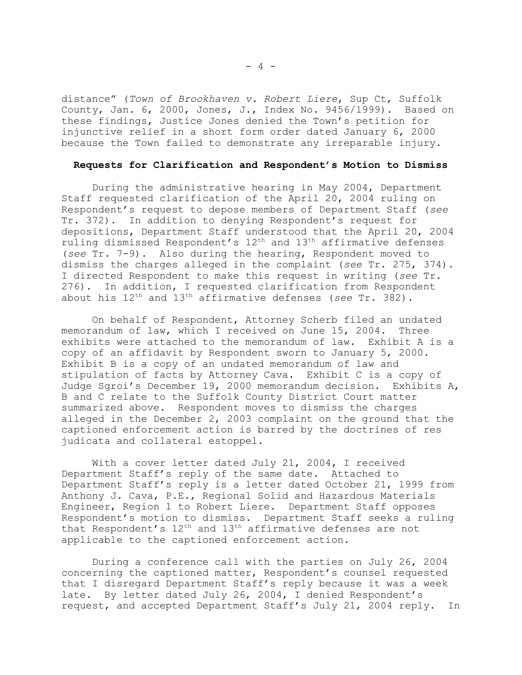distance" (*Town of Brookhaven v. Robert Liere*, Sup Ct, Suffolk County, Jan. 6, 2000, Jones, J., Index No. 9456/1999). Based on these findings, Justice Jones denied the Town's petition for injunctive relief in a short form order dated January 6, 2000 because the Town failed to demonstrate any irreparable injury.

# **Requests for Clarification and Respondent's Motion to Dismiss**

During the administrative hearing in May 2004, Department Staff requested clarification of the April 20, 2004 ruling on Respondent's request to depose members of Department Staff (*see* Tr. 372). In addition to denying Respondent's request for depositions, Department Staff understood that the April 20, 2004 ruling dismissed Respondent's  $12<sup>th</sup>$  and  $13<sup>th</sup>$  affirmative defenses (*see* Tr. 7-9). Also during the hearing, Respondent moved to dismiss the charges alleged in the complaint (*see* Tr. 275, 374). I directed Respondent to make this request in writing (*see* Tr. 276). In addition, I requested clarification from Respondent about his 12th and 13th affirmative defenses (*see* Tr. 382).

On behalf of Respondent, Attorney Scherb filed an undated memorandum of law, which I received on June 15, 2004. Three exhibits were attached to the memorandum of law. Exhibit A is a copy of an affidavit by Respondent sworn to January 5, 2000. Exhibit B is a copy of an undated memorandum of law and stipulation of facts by Attorney Cava. Exhibit C is a copy of Judge Sgroi's December 19, 2000 memorandum decision. Exhibits A, B and C relate to the Suffolk County District Court matter summarized above. Respondent moves to dismiss the charges alleged in the December 2, 2003 complaint on the ground that the captioned enforcement action is barred by the doctrines of res judicata and collateral estoppel.

With a cover letter dated July 21, 2004, I received Department Staff's reply of the same date. Attached to Department Staff's reply is a letter dated October 21, 1999 from Anthony J. Cava, P.E., Regional Solid and Hazardous Materials Engineer, Region 1 to Robert Liere. Department Staff opposes Respondent's motion to dismiss. Department Staff seeks a ruling that Respondent's  $12<sup>th</sup>$  and  $13<sup>th</sup>$  affirmative defenses are not applicable to the captioned enforcement action.

During a conference call with the parties on July 26, 2004 concerning the captioned matter, Respondent's counsel requested that I disregard Department Staff's reply because it was a week late. By letter dated July 26, 2004, I denied Respondent's request, and accepted Department Staff's July 21, 2004 reply. In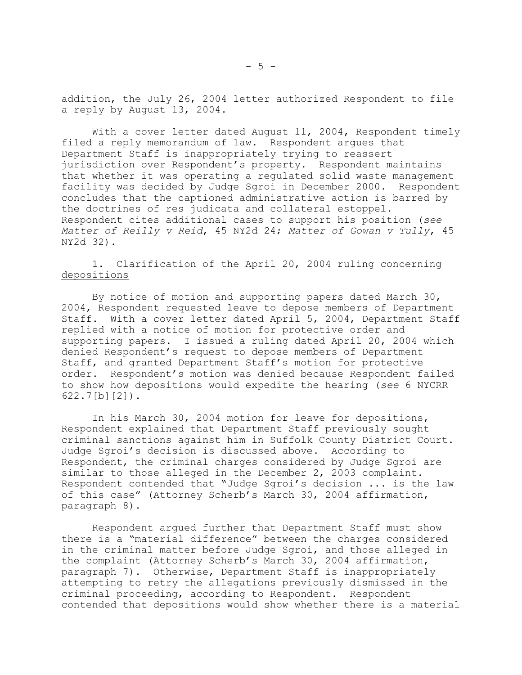addition, the July 26, 2004 letter authorized Respondent to file a reply by August 13, 2004.

With a cover letter dated August 11, 2004, Respondent timely filed a reply memorandum of law. Respondent argues that Department Staff is inappropriately trying to reassert jurisdiction over Respondent's property. Respondent maintains that whether it was operating a regulated solid waste management facility was decided by Judge Sgroi in December 2000. Respondent concludes that the captioned administrative action is barred by the doctrines of res judicata and collateral estoppel. Respondent cites additional cases to support his position (*see Matter of Reilly v Reid*, 45 NY2d 24; *Matter of Gowan v Tully*, 45 NY2d 32).

# 1. Clarification of the April 20, 2004 ruling concerning depositions

By notice of motion and supporting papers dated March 30, 2004, Respondent requested leave to depose members of Department Staff. With a cover letter dated April 5, 2004, Department Staff replied with a notice of motion for protective order and supporting papers. I issued a ruling dated April 20, 2004 which denied Respondent's request to depose members of Department Staff, and granted Department Staff's motion for protective order. Respondent's motion was denied because Respondent failed to show how depositions would expedite the hearing (*see* 6 NYCRR 622.7[b][2]).

In his March 30, 2004 motion for leave for depositions, Respondent explained that Department Staff previously sought criminal sanctions against him in Suffolk County District Court. Judge Sgroi's decision is discussed above. According to Respondent, the criminal charges considered by Judge Sgroi are similar to those alleged in the December 2, 2003 complaint. Respondent contended that "Judge Sgroi's decision ... is the law of this case" (Attorney Scherb's March 30, 2004 affirmation, paragraph 8).

Respondent argued further that Department Staff must show there is a "material difference" between the charges considered in the criminal matter before Judge Sgroi, and those alleged in the complaint (Attorney Scherb's March 30, 2004 affirmation, paragraph 7). Otherwise, Department Staff is inappropriately attempting to retry the allegations previously dismissed in the criminal proceeding, according to Respondent. Respondent contended that depositions would show whether there is a material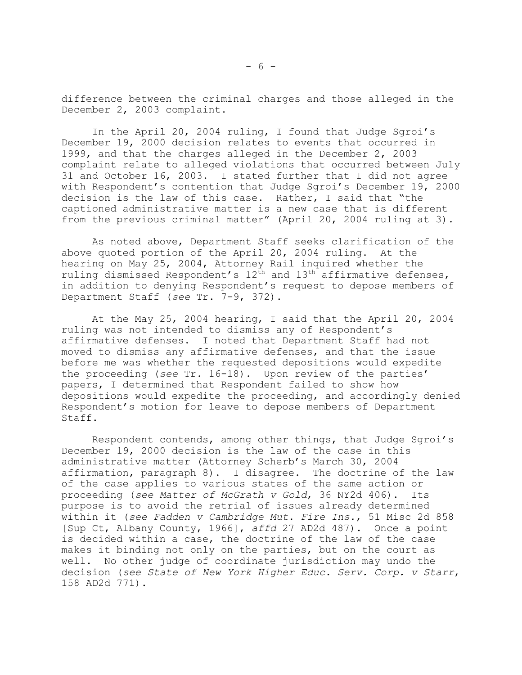difference between the criminal charges and those alleged in the December 2, 2003 complaint.

In the April 20, 2004 ruling, I found that Judge Sgroi's December 19, 2000 decision relates to events that occurred in 1999, and that the charges alleged in the December 2, 2003 complaint relate to alleged violations that occurred between July 31 and October 16, 2003. I stated further that I did not agree with Respondent's contention that Judge Sgroi's December 19, 2000 decision is the law of this case. Rather, I said that "the captioned administrative matter is a new case that is different from the previous criminal matter" (April 20, 2004 ruling at 3).

As noted above, Department Staff seeks clarification of the above quoted portion of the April 20, 2004 ruling. At the hearing on May 25, 2004, Attorney Rail inquired whether the ruling dismissed Respondent's  $12<sup>th</sup>$  and  $13<sup>th</sup>$  affirmative defenses, in addition to denying Respondent's request to depose members of Department Staff (*see* Tr. 7-9, 372).

At the May 25, 2004 hearing, I said that the April 20, 2004 ruling was not intended to dismiss any of Respondent's affirmative defenses. I noted that Department Staff had not moved to dismiss any affirmative defenses, and that the issue before me was whether the requested depositions would expedite the proceeding (*see* Tr. 16-18). Upon review of the parties' papers, I determined that Respondent failed to show how depositions would expedite the proceeding, and accordingly denied Respondent's motion for leave to depose members of Department Staff.

Respondent contends, among other things, that Judge Sgroi's December 19, 2000 decision is the law of the case in this administrative matter (Attorney Scherb's March 30, 2004 affirmation, paragraph 8). I disagree. The doctrine of the law of the case applies to various states of the same action or proceeding (*see Matter of McGrath v Gold*, 36 NY2d 406). Its purpose is to avoid the retrial of issues already determined within it (*see Fadden v Cambridge Mut. Fire Ins.*, 51 Misc 2d 858 [Sup Ct, Albany County, 1966], *affd* 27 AD2d 487). Once a point is decided within a case, the doctrine of the law of the case makes it binding not only on the parties, but on the court as well. No other judge of coordinate jurisdiction may undo the decision (*see State of New York Higher Educ. Serv. Corp. v Starr*, 158 AD2d 771).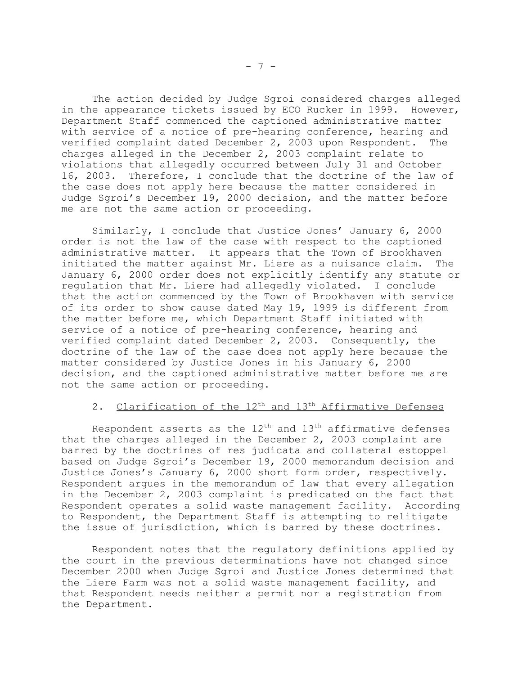The action decided by Judge Sgroi considered charges alleged in the appearance tickets issued by ECO Rucker in 1999. However, Department Staff commenced the captioned administrative matter with service of a notice of pre-hearing conference, hearing and verified complaint dated December 2, 2003 upon Respondent. The charges alleged in the December 2, 2003 complaint relate to violations that allegedly occurred between July 31 and October 16, 2003. Therefore, I conclude that the doctrine of the law of the case does not apply here because the matter considered in Judge Sgroi's December 19, 2000 decision, and the matter before me are not the same action or proceeding.

Similarly, I conclude that Justice Jones' January 6, 2000 order is not the law of the case with respect to the captioned administrative matter. It appears that the Town of Brookhaven initiated the matter against Mr. Liere as a nuisance claim. The January 6, 2000 order does not explicitly identify any statute or regulation that Mr. Liere had allegedly violated. I conclude that the action commenced by the Town of Brookhaven with service of its order to show cause dated May 19, 1999 is different from the matter before me, which Department Staff initiated with service of a notice of pre-hearing conference, hearing and verified complaint dated December 2, 2003. Consequently, the doctrine of the law of the case does not apply here because the matter considered by Justice Jones in his January 6, 2000 decision, and the captioned administrative matter before me are not the same action or proceeding.

# 2. Clarification of the  $12<sup>th</sup>$  and  $13<sup>th</sup>$  Affirmative Defenses

Respondent asserts as the  $12<sup>th</sup>$  and  $13<sup>th</sup>$  affirmative defenses that the charges alleged in the December 2, 2003 complaint are barred by the doctrines of res judicata and collateral estoppel based on Judge Sgroi's December 19, 2000 memorandum decision and Justice Jones's January 6, 2000 short form order, respectively. Respondent argues in the memorandum of law that every allegation in the December 2, 2003 complaint is predicated on the fact that Respondent operates a solid waste management facility. According to Respondent, the Department Staff is attempting to relitigate the issue of jurisdiction, which is barred by these doctrines.

Respondent notes that the regulatory definitions applied by the court in the previous determinations have not changed since December 2000 when Judge Sgroi and Justice Jones determined that the Liere Farm was not a solid waste management facility, and that Respondent needs neither a permit nor a registration from the Department.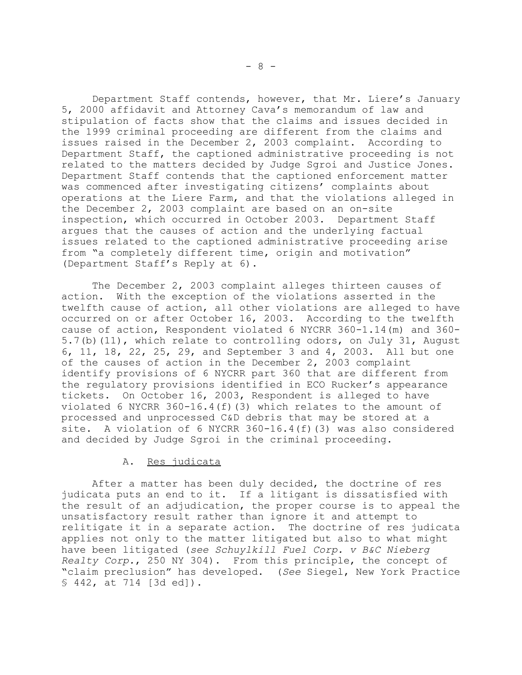Department Staff contends, however, that Mr. Liere's January 5, 2000 affidavit and Attorney Cava's memorandum of law and stipulation of facts show that the claims and issues decided in the 1999 criminal proceeding are different from the claims and issues raised in the December 2, 2003 complaint. According to Department Staff, the captioned administrative proceeding is not related to the matters decided by Judge Sgroi and Justice Jones. Department Staff contends that the captioned enforcement matter was commenced after investigating citizens' complaints about operations at the Liere Farm, and that the violations alleged in the December 2, 2003 complaint are based on an on-site inspection, which occurred in October 2003. Department Staff argues that the causes of action and the underlying factual issues related to the captioned administrative proceeding arise from "a completely different time, origin and motivation" (Department Staff's Reply at 6).

The December 2, 2003 complaint alleges thirteen causes of action. With the exception of the violations asserted in the twelfth cause of action, all other violations are alleged to have occurred on or after October 16, 2003. According to the twelfth cause of action, Respondent violated 6 NYCRR 360-1.14(m) and 360- 5.7(b)(11), which relate to controlling odors, on July 31, August 6, 11, 18, 22, 25, 29, and September 3 and 4, 2003. All but one of the causes of action in the December 2, 2003 complaint identify provisions of 6 NYCRR part 360 that are different from the regulatory provisions identified in ECO Rucker's appearance tickets. On October 16, 2003, Respondent is alleged to have violated 6 NYCRR  $360-16.4(f)(3)$  which relates to the amount of processed and unprocessed C&D debris that may be stored at a site. A violation of 6 NYCRR 360-16.4(f)(3) was also considered and decided by Judge Sgroi in the criminal proceeding.

## A. Res judicata

After a matter has been duly decided, the doctrine of res judicata puts an end to it. If a litigant is dissatisfied with the result of an adjudication, the proper course is to appeal the unsatisfactory result rather than ignore it and attempt to relitigate it in a separate action. The doctrine of res judicata applies not only to the matter litigated but also to what might have been litigated (*see Schuylkill Fuel Corp. v B&C Nieberg Realty Corp.*, 250 NY 304). From this principle, the concept of "claim preclusion" has developed. (*See* Siegel, New York Practice § 442, at 714 [3d ed]).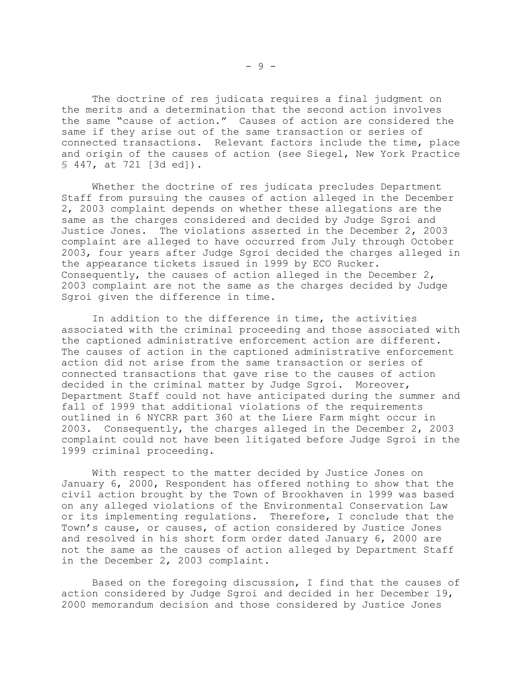The doctrine of res judicata requires a final judgment on the merits and a determination that the second action involves the same "cause of action." Causes of action are considered the same if they arise out of the same transaction or series of connected transactions. Relevant factors include the time, place and origin of the causes of action (s*ee* Siegel, New York Practice § 447, at 721 [3d ed]).

Whether the doctrine of res judicata precludes Department Staff from pursuing the causes of action alleged in the December 2, 2003 complaint depends on whether these allegations are the same as the charges considered and decided by Judge Sgroi and Justice Jones. The violations asserted in the December 2, 2003 complaint are alleged to have occurred from July through October 2003, four years after Judge Sgroi decided the charges alleged in the appearance tickets issued in 1999 by ECO Rucker. Consequently, the causes of action alleged in the December 2, 2003 complaint are not the same as the charges decided by Judge Sgroi given the difference in time.

In addition to the difference in time, the activities associated with the criminal proceeding and those associated with the captioned administrative enforcement action are different. The causes of action in the captioned administrative enforcement action did not arise from the same transaction or series of connected transactions that gave rise to the causes of action decided in the criminal matter by Judge Sgroi. Moreover, Department Staff could not have anticipated during the summer and fall of 1999 that additional violations of the requirements outlined in 6 NYCRR part 360 at the Liere Farm might occur in 2003. Consequently, the charges alleged in the December 2, 2003 complaint could not have been litigated before Judge Sgroi in the 1999 criminal proceeding.

With respect to the matter decided by Justice Jones on January 6, 2000, Respondent has offered nothing to show that the civil action brought by the Town of Brookhaven in 1999 was based on any alleged violations of the Environmental Conservation Law or its implementing regulations. Therefore, I conclude that the Town's cause, or causes, of action considered by Justice Jones and resolved in his short form order dated January 6, 2000 are not the same as the causes of action alleged by Department Staff in the December 2, 2003 complaint.

Based on the foregoing discussion, I find that the causes of action considered by Judge Sgroi and decided in her December 19, 2000 memorandum decision and those considered by Justice Jones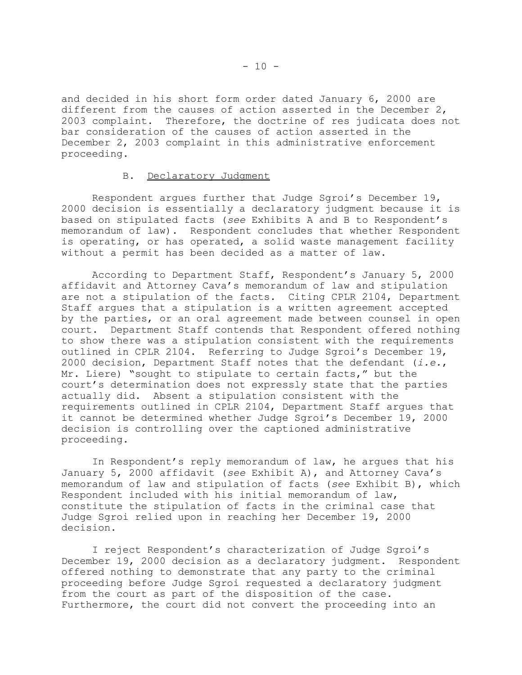and decided in his short form order dated January 6, 2000 are different from the causes of action asserted in the December 2, 2003 complaint. Therefore, the doctrine of res judicata does not bar consideration of the causes of action asserted in the December 2, 2003 complaint in this administrative enforcement proceeding.

## B. Declaratory Judgment

Respondent argues further that Judge Sgroi's December 19, 2000 decision is essentially a declaratory judgment because it is based on stipulated facts (*see* Exhibits A and B to Respondent's memorandum of law). Respondent concludes that whether Respondent is operating, or has operated, a solid waste management facility without a permit has been decided as a matter of law.

According to Department Staff, Respondent's January 5, 2000 affidavit and Attorney Cava's memorandum of law and stipulation are not a stipulation of the facts. Citing CPLR 2104, Department Staff argues that a stipulation is a written agreement accepted by the parties, or an oral agreement made between counsel in open court. Department Staff contends that Respondent offered nothing to show there was a stipulation consistent with the requirements outlined in CPLR 2104. Referring to Judge Sgroi's December 19, 2000 decision, Department Staff notes that the defendant (*i.e.*, Mr. Liere) "sought to stipulate to certain facts," but the court's determination does not expressly state that the parties actually did. Absent a stipulation consistent with the requirements outlined in CPLR 2104, Department Staff argues that it cannot be determined whether Judge Sgroi's December 19, 2000 decision is controlling over the captioned administrative proceeding.

In Respondent's reply memorandum of law, he argues that his January 5, 2000 affidavit (*see* Exhibit A), and Attorney Cava's memorandum of law and stipulation of facts (*see* Exhibit B), which Respondent included with his initial memorandum of law, constitute the stipulation of facts in the criminal case that Judge Sgroi relied upon in reaching her December 19, 2000 decision.

I reject Respondent's characterization of Judge Sgroi's December 19, 2000 decision as a declaratory judgment. Respondent offered nothing to demonstrate that any party to the criminal proceeding before Judge Sgroi requested a declaratory judgment from the court as part of the disposition of the case. Furthermore, the court did not convert the proceeding into an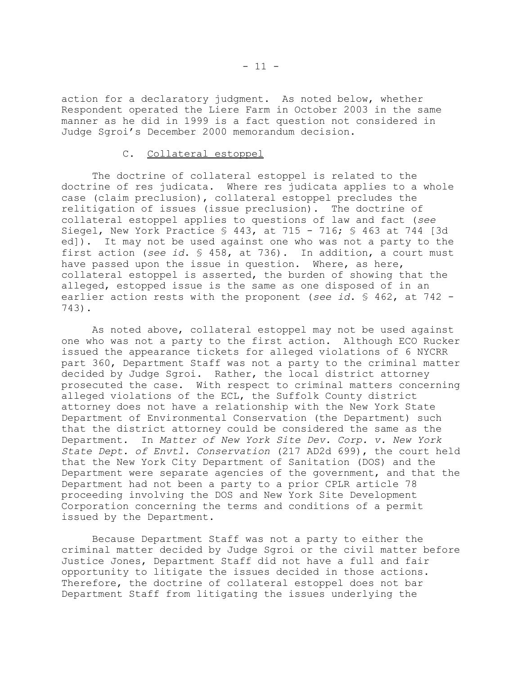action for a declaratory judgment. As noted below, whether Respondent operated the Liere Farm in October 2003 in the same manner as he did in 1999 is a fact question not considered in Judge Sgroi's December 2000 memorandum decision.

## C. Collateral estoppel

The doctrine of collateral estoppel is related to the doctrine of res judicata. Where res judicata applies to a whole case (claim preclusion), collateral estoppel precludes the relitigation of issues (issue preclusion). The doctrine of collateral estoppel applies to questions of law and fact (*see* Siegel, New York Practice § 443, at 715 - 716; § 463 at 744 [3d ed]). It may not be used against one who was not a party to the first action (*see id*. § 458, at 736). In addition, a court must have passed upon the issue in question. Where, as here, collateral estoppel is asserted, the burden of showing that the alleged, estopped issue is the same as one disposed of in an earlier action rests with the proponent (*see id*. § 462, at 742 - 743).

As noted above, collateral estoppel may not be used against one who was not a party to the first action. Although ECO Rucker issued the appearance tickets for alleged violations of 6 NYCRR part 360, Department Staff was not a party to the criminal matter decided by Judge Sgroi. Rather, the local district attorney prosecuted the case. With respect to criminal matters concerning alleged violations of the ECL, the Suffolk County district attorney does not have a relationship with the New York State Department of Environmental Conservation (the Department) such that the district attorney could be considered the same as the Department. In *Matter of New York Site Dev. Corp. v. New York State Dept. of Envtl. Conservation* (217 AD2d 699), the court held that the New York City Department of Sanitation (DOS) and the Department were separate agencies of the government, and that the Department had not been a party to a prior CPLR article 78 proceeding involving the DOS and New York Site Development Corporation concerning the terms and conditions of a permit issued by the Department.

Because Department Staff was not a party to either the criminal matter decided by Judge Sgroi or the civil matter before Justice Jones, Department Staff did not have a full and fair opportunity to litigate the issues decided in those actions. Therefore, the doctrine of collateral estoppel does not bar Department Staff from litigating the issues underlying the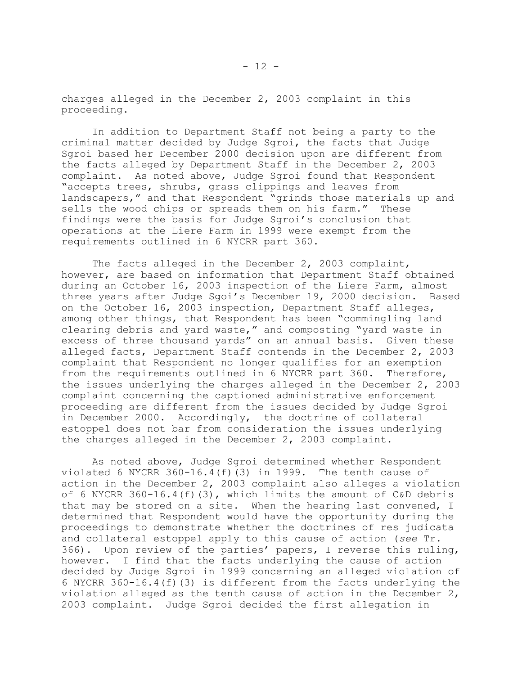charges alleged in the December 2, 2003 complaint in this proceeding.

In addition to Department Staff not being a party to the criminal matter decided by Judge Sgroi, the facts that Judge Sgroi based her December 2000 decision upon are different from the facts alleged by Department Staff in the December 2, 2003 complaint. As noted above, Judge Sgroi found that Respondent "accepts trees, shrubs, grass clippings and leaves from landscapers," and that Respondent "grinds those materials up and sells the wood chips or spreads them on his farm." These findings were the basis for Judge Sgroi's conclusion that operations at the Liere Farm in 1999 were exempt from the requirements outlined in 6 NYCRR part 360.

The facts alleged in the December 2, 2003 complaint, however, are based on information that Department Staff obtained during an October 16, 2003 inspection of the Liere Farm, almost three years after Judge Sgoi's December 19, 2000 decision. Based on the October 16, 2003 inspection, Department Staff alleges, among other things, that Respondent has been "commingling land clearing debris and yard waste," and composting "yard waste in excess of three thousand yards" on an annual basis. Given these alleged facts, Department Staff contends in the December 2, 2003 complaint that Respondent no longer qualifies for an exemption from the requirements outlined in 6 NYCRR part 360. Therefore, the issues underlying the charges alleged in the December 2, 2003 complaint concerning the captioned administrative enforcement proceeding are different from the issues decided by Judge Sgroi in December 2000. Accordingly, the doctrine of collateral estoppel does not bar from consideration the issues underlying the charges alleged in the December 2, 2003 complaint.

As noted above, Judge Sgroi determined whether Respondent violated 6 NYCRR 360-16.4(f)(3) in 1999. The tenth cause of action in the December 2, 2003 complaint also alleges a violation of 6 NYCRR 360-16.4(f)(3), which limits the amount of C&D debris that may be stored on a site. When the hearing last convened, I determined that Respondent would have the opportunity during the proceedings to demonstrate whether the doctrines of res judicata and collateral estoppel apply to this cause of action (*see* Tr. 366). Upon review of the parties' papers, I reverse this ruling, however. I find that the facts underlying the cause of action decided by Judge Sgroi in 1999 concerning an alleged violation of 6 NYCRR 360-16.4(f)(3) is different from the facts underlying the violation alleged as the tenth cause of action in the December  $2$ , 2003 complaint. Judge Sgroi decided the first allegation in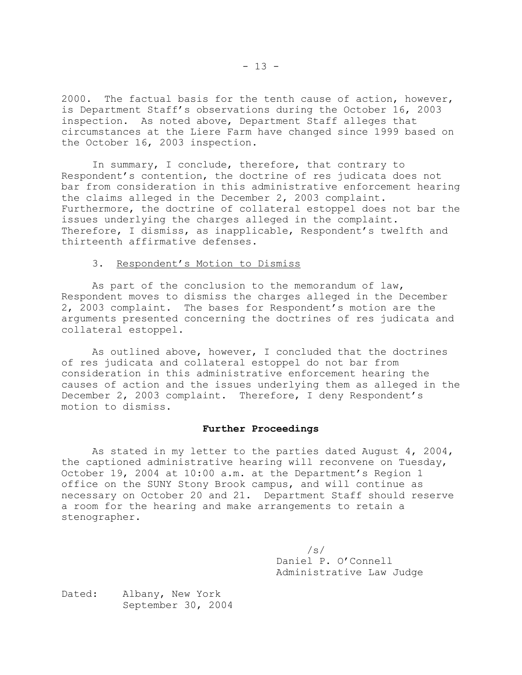2000. The factual basis for the tenth cause of action, however, is Department Staff's observations during the October 16, 2003 inspection. As noted above, Department Staff alleges that circumstances at the Liere Farm have changed since 1999 based on the October 16, 2003 inspection.

In summary, I conclude, therefore, that contrary to Respondent's contention, the doctrine of res judicata does not bar from consideration in this administrative enforcement hearing the claims alleged in the December 2, 2003 complaint. Furthermore, the doctrine of collateral estoppel does not bar the issues underlying the charges alleged in the complaint. Therefore, I dismiss, as inapplicable, Respondent's twelfth and thirteenth affirmative defenses.

### 3. Respondent's Motion to Dismiss

As part of the conclusion to the memorandum of law, Respondent moves to dismiss the charges alleged in the December 2, 2003 complaint. The bases for Respondent's motion are the arguments presented concerning the doctrines of res judicata and collateral estoppel.

As outlined above, however, I concluded that the doctrines of res judicata and collateral estoppel do not bar from consideration in this administrative enforcement hearing the causes of action and the issues underlying them as alleged in the December 2, 2003 complaint. Therefore, I deny Respondent's motion to dismiss.

### **Further Proceedings**

As stated in my letter to the parties dated August 4, 2004, the captioned administrative hearing will reconvene on Tuesday, October 19, 2004 at 10:00 a.m. at the Department's Region 1 office on the SUNY Stony Brook campus, and will continue as necessary on October 20 and 21. Department Staff should reserve a room for the hearing and make arrangements to retain a stenographer.

> /s/ Daniel P. O'Connell Administrative Law Judge

Dated: Albany, New York September 30, 2004